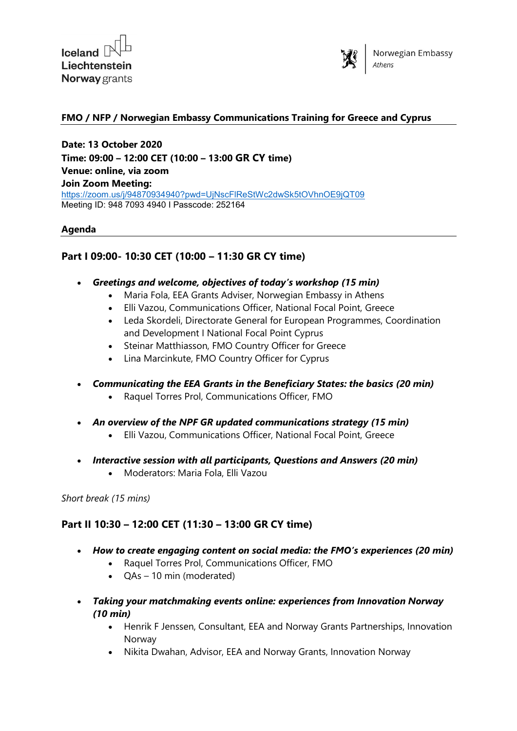



## **FMO / NFP / Norwegian Embassy Communications Training for Greece and Cyprus**

**Date: 13 October 2020 Time: 09:00 – 12:00 CET (10:00 – 13:00 GR CY time) Venue: online, via zoom Join Zoom Meeting:** <https://zoom.us/j/94870934940?pwd=UjNscFlReStWc2dwSk5tOVhnOE9jQT09> Meeting ID: 948 7093 4940 I Passcode: 252164

## **Agenda**

## **Part I 09:00- 10:30 CET (10:00 – 11:30 GR CY time)**

- *Greetings and welcome, objectives of today's workshop (15 min)*
	- Maria Fola, EEA Grants Adviser, Norwegian Embassy in Athens
	- Elli Vazou, Communications Officer, National Focal Point, Greece
	- Leda Skordeli, Directorate General for European Programmes, Coordination and Development I National Focal Point Cyprus
	- Steinar Matthiasson, FMO Country Officer for Greece
	- Lina Marcinkute, FMO Country Officer for Cyprus
- *Communicating the EEA Grants in the Beneficiary States: the basics (20 min)*
	- Raquel Torres Prol, Communications Officer, FMO
- *An overview of the NPF GR updated communications strategy (15 min)*
	- Elli Vazou, Communications Officer, National Focal Point, Greece
- *Interactive session with all participants, Questions and Answers (20 min)* 
	- Moderators: Maria Fola, Elli Vazou

*Short break (15 mins)*

## **Part II 10:30 – 12:00 CET (11:30 – 13:00 GR CY time)**

- *How to create engaging content on social media: the FMO's experiences (20 min)*
	- Raquel Torres Prol, Communications Officer, FMO
	- QAs 10 min (moderated)
- *Taking your matchmaking events online: experiences from Innovation Norway (10 min)*
	- Henrik F Jenssen, Consultant, EEA and Norway Grants Partnerships, Innovation Norway
	- Nikita Dwahan, Advisor, EEA and Norway Grants, Innovation Norway